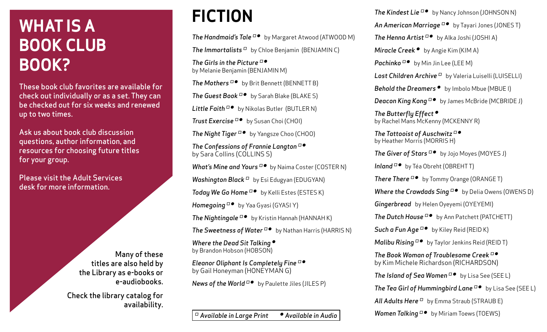## **WHAT IS A BOOK CLUB BOOK?**

These book club favorites are available for check out individually or as a set. They can be checked out for six weeks and renewed up to two times.

Ask us about book club discussion questions, author information, and resources for choosing future titles for your group.

Please visit the Adult Services desk for more information.

> Many of these titles are also held by the Library as e-books or e-audiobooks.

Check the library catalog for availability.

## **FICTION**

**The Handmaid's Tale** <sup>□●</sup> by Margaret Atwood (ATWOOD M) *The Immortalists ∫* by Chloe Benjamin (BENJAMIN C) *The Girls in the Picture ∫ ∑* by Melanie Benjamin (BENJAMIN M) *The Mothers* <sup>□●</sup> by Brit Bennett (BENNETT B) **The Guest Book** <sup>□●</sup> by Sarah Blake (BLAKE S) Little Faith <sup>□●</sup> by Nikolas Butler (BUTLER N) **Trust Exercise** <sup>□●</sup> by Susan Choi (CHOI) **The Night Tiger** <sup>D●</sup> by Yangsze Choo (CHOO) *The Confessions of Frannie Langton ∫ ∑* by Sara Collins (COLLINS S) *What's Mine and Yours* <sup>□●</sup> by Naima Coster (COSTER N) *Washington Black* <sup>□</sup> by Esi Edugyan (EDUGYAN) **Today We Go Home** <sup>D●</sup> by Kelli Estes (ESTES K) *Homegoing*  $\Box$  **by Yaa Gyasi (GYASI Y) The Nightingale** <sup>□●</sup> by Kristin Hannah (HANNAH K) **The Sweetness of Water** <sup>D●</sup> by Nathan Harris (HARRIS N) *Where the Dead Sit Talking* ● by Brandon Hobson (HOBSON) *Eleanor Oliphant Is Completely Fine ∫ ∑*

by Gail Honeyman (HONEYMAN G) *News of the World* <sup>□●</sup> by Paulette Jiles (JILES P)

*∫ Available in Large Print ∑ Available in Audio*

**The Kindest Lie** <sup>D●</sup> by Nancy Johnson (JOHNSON N) **An American Marriage** D<sup>o</sup> by Tayari Jones (JONES T) **The Henna Artist** <sup>□●</sup> by Alka Joshi (JOSHI A) *Miracle Creek* ● by Angie Kim (KIM A) *Pachinko* <sup>□●</sup> by Min Jin Lee (LEE M) *Lost Children Archive ∫* by Valeria Luiselli (LUISELLI) **Behold the Dreamers ●** by Imbolo Mbue (MBUE I) **Deacon King Kong** <sup>D●</sup> by James McBride (MCBRIDE J) *The Butterfly Effect ∑* by Rachel Mans McKenny (MCKENNY R)

*The Tattooist of Auschwitz* <sup>□●</sup> by Heather Morris (MORRIS H)

**The Giver of Stars** <sup>□●</sup> by Jojo Moyes (MOYES J)

*Inland*  $\Box$  **by Téa Obreht (OBREHTT)** 

**There There** □● by Tommy Orange (ORANGE T)

*Where the Crawdads Sing* <sup>D●</sup> by Delia Owens (OWENS D)

*Gingerbread* by Helen Oyeyemi (OYEYEMI)

**The Dutch House** □● by Ann Patchett (PATCHETT)

*Such a Fun Age* <sup>*D*</sup> by Kiley Reid (REID K)

*Malibu Rising* <sup>□●</sup> by Taylor Jenkins Reid (REID T)

*The Book Woman of Troublesome Creek ∫ ∑* by Kim Michele Richardson (RICHARDSON)

**The Island of Sea Women** <sup>□●</sup> by Lisa See (SEE L)

*The Tea Girl of Hummingbird Lane* <sup>D●</sup> by Lisa See (SEE L)

*All Adults Here ∫* by Emma Straub (STRAUB E)

*Women Talking* <sup>□●</sup> by Miriam Toews (TOEWS)